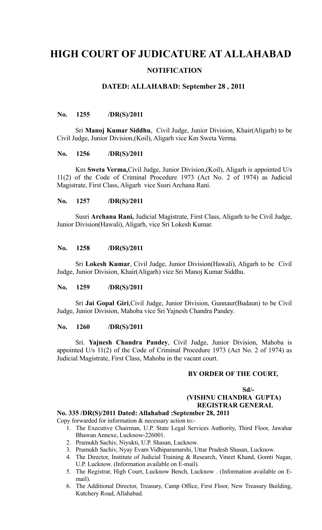# **HIGH COURT OF JUDICATURE AT ALLAHABAD NOTIFICATION**

# **DATED: ALLAHABAD: September 28 , 2011**

## **No. 1255 /DR(S)/2011**

Sri **Manoj Kumar Siddhu**, Civil Judge, Junior Division, Khair(Aligarh) to be Civil Judge, Junior Division,(Koil), Aligarh vice Km Sweta Verma.

#### **No. 1256 /DR(S)/2011**

Km **Sweta Verma,**Civil Judge, Junior Division,(Koil), Aligarh is appointed U/s 11(2) of the Code of Criminal Procedure 1973 (Act No. 2 of 1974) as Judicial Magistrate, First Class, Aligarh vice Susri Archana Rani.

### **No. 1257 /DR(S)/2011**

Susri **Archana Rani,** Judicial Magistrate, First Class, Aligarh to be Civil Judge, Junior Division(Hawali), Aligarh, vice Sri Lokesh Kumar.

#### **No. 1258 /DR(S)/2011**

Sri **Lokesh Kumar**, Civil Judge, Junior Division(Hawali), Aligarh to be Civil Judge, Junior Division, Khair(Aligarh) vice Sri Manoj Kumar Siddhu.

## **No. 1259 /DR(S)/2011**

Sri **Jai Gopal Giri**,Civil Judge, Junior Division, Gunnaur(Budaun) to be Civil Judge, Junior Division, Mahoba vice Sri Yajnesh Chandra Pandey.

#### **No. 1260 /DR(S)/2011**

Sri. **Yajnesh Chandra Pandey**, Civil Judge, Junior Division, Mahoba is appointed U/s 11(2) of the Code of Criminal Procedure 1973 (Act No. 2 of 1974) as Judicial Magistrate, First Class, Mahoba in the vacant court.

## **BY ORDER OF THE COURT,**

## **Sd/- (VISHNU CHANDRA GUPTA) REGISTRAR GENERAL**

## **No. 335 /DR(S)/2011 Dated: Allahabad :September 28, 2011**

Copy forwarded for information & necessary action to:-

- 1. The Executive Chairman, U.P. State Legal Services Authority, Third Floor, Jawahar Bhawan Annexe, Lucknow-226001.
- 2. Pramukh Sachiv, Niyukti, U.P. Shasan, Lucknow.
- 3. Pramukh Sachiv, Nyay Evam Vidhiparamarshi, Uttar Pradesh Shasan, Lucknow.
- 4. The Director, Institute of Judicial Training & Research, Vineet Khand, Gomti Nagar, U.P. Lucknow. (Information available on E-mail).
- 5. The Registrar, High Court, Lucknow Bench, Lucknow . (Information available on Email).
- 6. The Additional Director, Treasury, Camp Office, First Floor, New Treasury Building, Kutchery Road, Allahabad.